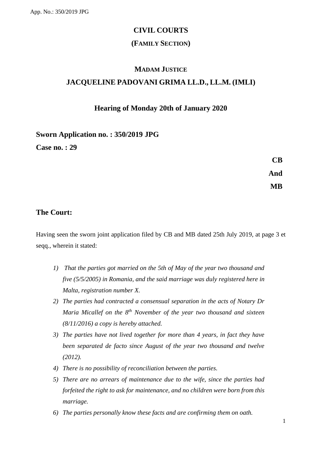# **CIVIL COURTS**

## **(FAMILY SECTION)**

# **MADAM JUSTICE JACQUELINE PADOVANI GRIMA LL.D., LL.M. (IMLI)**

#### **Hearing of Monday 20th of January 2020**

## **Sworn Application no. : 350/2019 JPG**

**Case no. : 29**

**CB And MB**

# **The Court:**

Having seen the sworn joint application filed by CB and MB dated 25th July 2019, at page 3 et seqq., wherein it stated:

- *1) That the parties got married on the 5th of May of the year two thousand and five (5/5/2005) in Romania, and the said marriage was duly registered here in Malta, registration number X.*
- *2) The parties had contracted a consensual separation in the acts of Notary Dr Maria Micallef on the 8th November of the year two thousand and sixteen (8/11/2016) a copy is hereby attached.*
- *3) The parties have not lived together for more than 4 years, in fact they have been separated de facto since August of the year two thousand and twelve (2012).*
- *4) There is no possibility of reconciliation between the parties.*
- *5) There are no arrears of maintenance due to the wife, since the parties had forfeited the right to ask for maintenance, and no children were born from this marriage.*
- *6) The parties personally know these facts and are confirming them on oath.*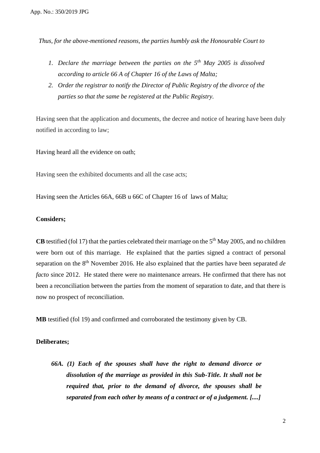*Thus, for the above-mentioned reasons, the parties humbly ask the Honourable Court to* 

- *1. Declare the marriage between the parties on the 5th May 2005 is dissolved according to article 66 A of Chapter 16 of the Laws of Malta;*
- *2. Order the registrar to notify the Director of Public Registry of the divorce of the parties so that the same be registered at the Public Registry.*

Having seen that the application and documents, the decree and notice of hearing have been duly notified in according to law;

Having heard all the evidence on oath;

Having seen the exhibited documents and all the case acts;

Having seen the Articles 66A, 66B u 66C of Chapter 16 of laws of Malta;

#### **Considers;**

**CB** testified (fol 17) that the parties celebrated their marriage on the  $5<sup>th</sup>$  May 2005, and no children were born out of this marriage. He explained that the parties signed a contract of personal separation on the 8th November 2016. He also explained that the parties have been separated *de facto* since 2012. He stated there were no maintenance arrears. He confirmed that there has not been a reconciliation between the parties from the moment of separation to date, and that there is now no prospect of reconciliation.

**MB** testified (fol 19) and confirmed and corroborated the testimony given by CB.

#### **Deliberates;**

*66A. (1) Each of the spouses shall have the right to demand divorce or dissolution of the marriage as provided in this Sub-Title. It shall not be required that, prior to the demand of divorce, the spouses shall be separated from each other by means of a contract or of a judgement. [....]*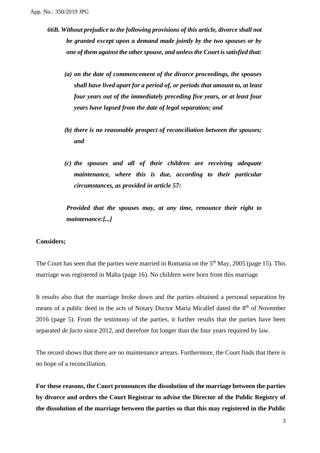- *66B. Without prejudice to the following provisions of this article, divorce shall not be granted except upon a demand made jointly by the two spouses or by one of them against the other spouse, and unless the Court is satisfied that:*
	- *(a) on the date of commencement of the divorce proceedings, the spouses shall have lived apart for a period of, or periods that amount to, at least four years out of the immediately preceding five years, or at least four years have lapsed from the date of legal separation; and*
	- *(b) there is no reasonable prospect of reconciliation between the spouses; and*
	- *(c) the spouses and all of their children are receiving adequate maintenance, where this is due, according to their particular circumstances, as provided in article 57:*

*Provided that the spouses may, at any time, renounce their right to maintenance:[...]*

#### **Considers;**

The Court has seen that the parties were married in Romania on the  $5<sup>th</sup>$  May, 2005 (page 15). This marriage was registered in Malta (page 16). No children were born from this marriage

It results also that the marriage broke down and the parties obtained a personal separation by means of a public deed in the acts of Notary Doctor Maria Micallef dated the 8<sup>th</sup> of November 2016 (page 5). From the testimony of the parties, it further results that the parties have been separated *de facto* since 2012, and therefore for longer than the four years required by law.

The record shows that there are no maintenance arrears. Furthermore, the Court finds that there is no hope of a reconciliation.

**For these reasons, the Court pronounces the dissolution of the marriage between the parties by divorce and orders the Court Registrar to advise the Director of the Public Registry of the dissolution of the marriage between the parties so that this may registered in the Public**